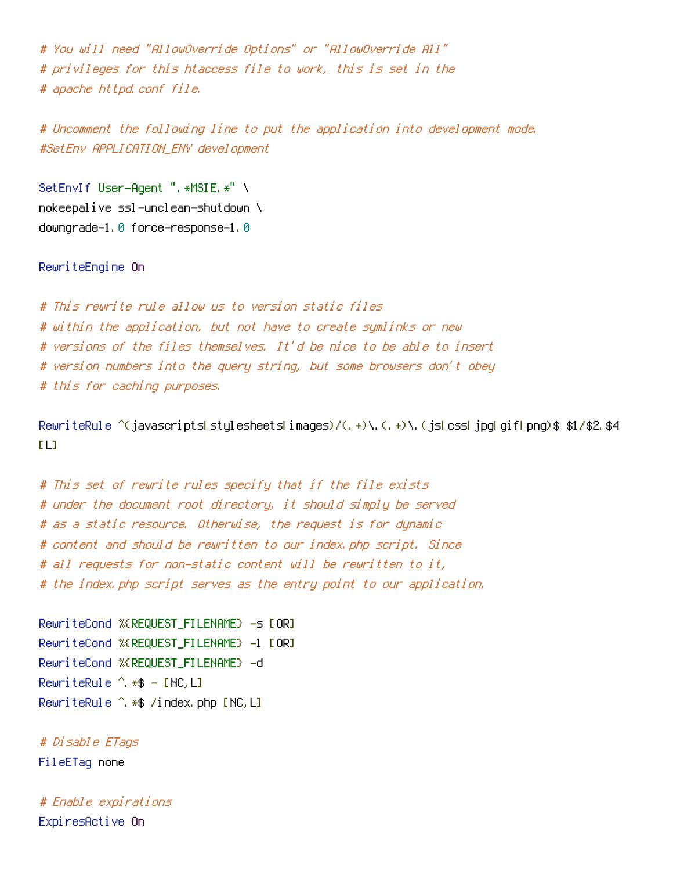# You will need "AllowOverride Options" or "AllowOverride All" # privileges for this htaccess file to work, this is set in the # apache httpd.conf file.

# Uncomment the following line to put the application into development mode. #SetEnv APPLICATION\_ENV development

SetEnvIf User-Agent ". \*MSIE. \*" \ nokeepalive ssl-unclean-shutdown \ downgrade-1.0 force-response-1.0

RewriteEngine On

# This rewrite rule allow us to version static files # within the application, but not have to create symlinks or new # versions of the files themselves. It'd be nice to be able to insert # version numbers into the query string, but some browsers don't obey # this for caching purposes.

RewriteRule  $\hat{ }$ (javascripts|stylesheets|images)/(,+)\.(,+)\.(js|css|jpg|gif|png)\$ \$1/\$2.\$4  $[1]$ 

# This set of rewrite rules specify that if the file exists # under the document root directory, it should simply be served # as <sup>a</sup> static resource. Otherwise, the request is for dynamic # content and should be rewritten to our index.php script. Since # all requests for non-static content will be rewritten to it, # the index.php script serves as the entry point to our application.

RewriteCond %{REQUEST\_FILENAME} -s [OR] RewriteCond %{REQUEST\_FILENAME} -1 [OR] RewriteCond %{REQUEST\_FILENAME} -d RewriteRule ^.\*\$ - [NC,L] RewriteRule ^.\*\$ /index.php [NC,L]

# Disable ETags FileETag none

# Enable expirations ExpiresActive On